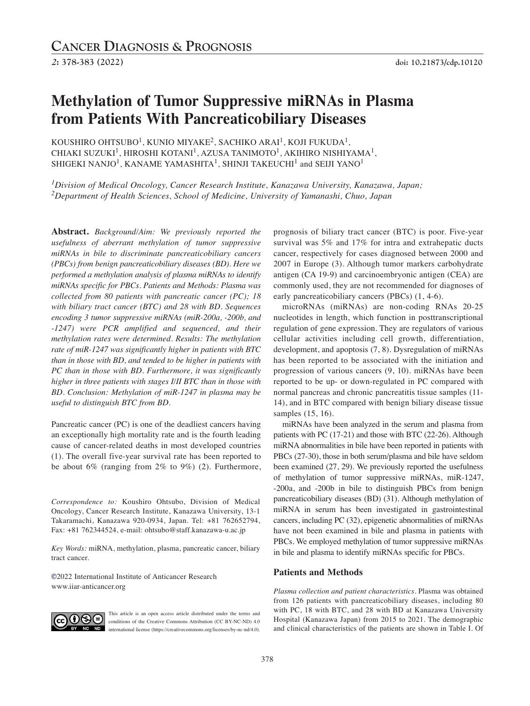# **Methylation of Tumor Suppressive miRNAs in Plasma from Patients With Pancreaticobiliary Diseases**

KOUSHIRO OHTSUBO $^1$ , KUNIO MIYAKE $^2$ , SACHIKO ARAI $^1$ , KOJI FUKUDA $^1$ , CHIAKI SUZUKI $^1$ , HIROSHI KOTANI $^1$ , AZUSA TANIMOTO $^1$ , AKIHIRO NISHIYAMA $^1$ , SHIGEKI NANJO<sup>1</sup>, KANAME YAMASHITA<sup>1</sup>, SHINJI TAKEUCHI<sup>1</sup> and SEIJI YANO<sup>1</sup>

*1Division of Medical Oncology, Cancer Research Institute, Kanazawa University, Kanazawa, Japan; 2Department of Health Sciences, School of Medicine, University of Yamanashi, Chuo, Japan*

**Abstract.** *Background/Aim: We previously reported the usefulness of aberrant methylation of tumor suppressive miRNAs in bile to discriminate pancreaticobiliary cancers (PBCs) from benign pancreaticobiliary diseases (BD). Here we performed a methylation analysis of plasma miRNAs to identify miRNAs specific for PBCs. Patients and Methods: Plasma was collected from 80 patients with pancreatic cancer (PC); 18 with biliary tract cancer (BTC) and 28 with BD. Sequences encoding 3 tumor suppressive miRNAs (miR-200a, -200b, and -1247) were PCR amplified and sequenced, and their methylation rates were determined. Results: The methylation rate of miR-1247 was significantly higher in patients with BTC than in those with BD, and tended to be higher in patients with PC than in those with BD. Furthermore, it was significantly higher in three patients with stages I/II BTC than in those with BD. Conclusion: Methylation of miR-1247 in plasma may be useful to distinguish BTC from BD.*

Pancreatic cancer (PC) is one of the deadliest cancers having an exceptionally high mortality rate and is the fourth leading cause of cancer-related deaths in most developed countries (1). The overall five-year survival rate has been reported to be about 6% (ranging from 2% to 9%) (2). Furthermore,

*Correspondence to:* Koushiro Ohtsubo, Division of Medical Oncology, Cancer Research Institute, Kanazawa University, 13-1 Takaramachi, Kanazawa 920-0934, Japan. Tel: +81 762652794, Fax: +81 762344524, e-mail: ohtsubo@staff.kanazawa-u.ac.jp

*Key Words:* miRNA, methylation, plasma, pancreatic cancer, biliary tract cancer.

**©**2022 International Institute of Anticancer Research www.iiar-anticancer.org



This article is an open access article distributed under the terms and conditions of the Creative Commons Attribution (CC BY-NC-ND) 4.0 international license (https://creativecommons.org/licenses/by-nc-nd/4.0).

prognosis of biliary tract cancer (BTC) is poor. Five-year survival was 5% and 17% for intra and extrahepatic ducts cancer, respectively for cases diagnosed between 2000 and 2007 in Europe (3). Although tumor markers carbohydrate antigen (CA 19-9) and carcinoembryonic antigen (CEA) are commonly used, they are not recommended for diagnoses of early pancreaticobiliary cancers (PBCs) (1, 4-6).

microRNAs (miRNAs) are non-coding RNAs 20-25 nucleotides in length, which function in posttranscriptional regulation of gene expression. They are regulators of various cellular activities including cell growth, differentiation, development, and apoptosis (7, 8). Dysregulation of miRNAs has been reported to be associated with the initiation and progression of various cancers (9, 10). miRNAs have been reported to be up- or down-regulated in PC compared with normal pancreas and chronic pancreatitis tissue samples (11- 14), and in BTC compared with benign biliary disease tissue samples (15, 16).

miRNAs have been analyzed in the serum and plasma from patients with PC (17-21) and those with BTC (22-26). Although miRNA abnormalities in bile have been reported in patients with PBCs (27-30), those in both serum/plasma and bile have seldom been examined (27, 29). We previously reported the usefulness of methylation of tumor suppressive miRNAs, miR-1247, -200a, and -200b in bile to distinguish PBCs from benign pancreaticobiliary diseases (BD) (31). Although methylation of miRNA in serum has been investigated in gastrointestinal cancers, including PC (32), epigenetic abnormalities of miRNAs have not been examined in bile and plasma in patients with PBCs. We employed methylation of tumor suppressive miRNAs in bile and plasma to identify miRNAs specific for PBCs.

# **Patients and Methods**

*Plasma collection and patient characteristics.* Plasma was obtained from 126 patients with pancreaticobiliary diseases, including 80 with PC, 18 with BTC, and 28 with BD at Kanazawa University Hospital (Kanazawa Japan) from 2015 to 2021. The demographic and clinical characteristics of the patients are shown in Table I. Of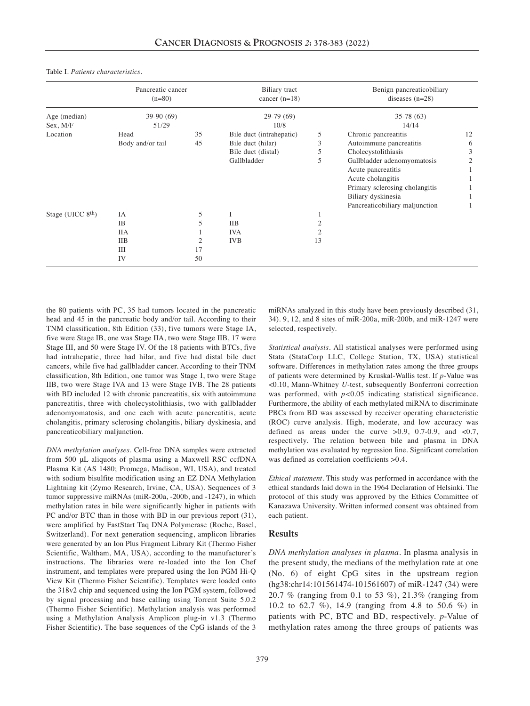Table I. *Patients characteristics.*

|                     | Pancreatic cancer<br>$(n=80)$<br>$39-90(69)$<br>51/29 |    | Biliary tract<br>cancer $(n=18)$<br>$29-79(69)$<br>10/8 |    | Benign pancreaticobiliary<br>diseases $(n=28)$<br>$35-78(63)$<br>14/14 |                             |
|---------------------|-------------------------------------------------------|----|---------------------------------------------------------|----|------------------------------------------------------------------------|-----------------------------|
| Age (median)        |                                                       |    |                                                         |    |                                                                        |                             |
| Sex, M/F            |                                                       |    |                                                         |    |                                                                        |                             |
| Location            | Head                                                  | 35 | Bile duct (intrahepatic)                                | 5  | Chronic pancreatitis                                                   | 12                          |
|                     | Body and/or tail                                      | 45 | Bile duct (hilar)                                       | 3  | Autoimmune pancreatitis                                                | 6                           |
|                     |                                                       |    | Bile duct (distal)                                      | 5  | Cholecystolithiasis                                                    | 3                           |
|                     |                                                       |    | Gallbladder                                             | 5  | Gallbladder adenomyomatosis                                            | $\mathcal{D}_{\mathcal{L}}$ |
|                     |                                                       |    |                                                         |    | Acute pancreatitis                                                     |                             |
|                     |                                                       |    |                                                         |    | Acute cholangitis                                                      |                             |
|                     |                                                       |    |                                                         |    | Primary sclerosing cholangitis                                         |                             |
|                     |                                                       |    |                                                         |    | Biliary dyskinesia                                                     |                             |
|                     |                                                       |    |                                                         |    | Pancreaticobiliary maljunction                                         |                             |
| Stage (UICC $8th$ ) | <b>IA</b>                                             | 5  | I                                                       |    |                                                                        |                             |
|                     | <b>IB</b>                                             | 5  | <b>IIB</b>                                              |    |                                                                        |                             |
|                     | ПA                                                    |    | <b>IVA</b>                                              |    |                                                                        |                             |
|                     | <b>IIB</b>                                            | 2  | <b>IVB</b>                                              | 13 |                                                                        |                             |
|                     | Ш                                                     | 17 |                                                         |    |                                                                        |                             |
|                     | IV                                                    | 50 |                                                         |    |                                                                        |                             |

the 80 patients with PC, 35 had tumors located in the pancreatic head and 45 in the pancreatic body and/or tail. According to their TNM classification, 8th Edition (33), five tumors were Stage IA, five were Stage IB, one was Stage IIA, two were Stage IIB, 17 were Stage III, and 50 were Stage IV. Of the 18 patients with BTCs, five had intrahepatic, three had hilar, and five had distal bile duct cancers, while five had gallbladder cancer. According to their TNM classification, 8th Edition, one tumor was Stage I, two were Stage IIB, two were Stage IVA and 13 were Stage IVB. The 28 patients with BD included 12 with chronic pancreatitis, six with autoimmune pancreatitis, three with cholecystolithiasis, two with gallbladder adenomyomatosis, and one each with acute pancreatitis, acute cholangitis, primary sclerosing cholangitis, biliary dyskinesia, and pancreaticobiliary maljunction.

*DNA methylation analyses.* Cell-free DNA samples were extracted from 500 μL aliquots of plasma using a Maxwell RSC ccfDNA Plasma Kit (AS 1480; Promega, Madison, WI, USA), and treated with sodium bisulfite modification using an EZ DNA Methylation Lightning kit (Zymo Research, Irvine, CA, USA). Sequences of 3 tumor suppressive miRNAs (miR-200a, -200b, and -1247), in which methylation rates in bile were significantly higher in patients with PC and/or BTC than in those with BD in our previous report (31), were amplified by FastStart Taq DNA Polymerase (Roche, Basel, Switzerland). For next generation sequencing, amplicon libraries were generated by an Ion Plus Fragment Library Kit (Thermo Fisher Scientific, Waltham, MA, USA), according to the manufacturer's instructions. The libraries were re-loaded into the Ion Chef instrument, and templates were prepared using the Ion PGM Hi-Q View Kit (Thermo Fisher Scientific). Templates were loaded onto the 318v2 chip and sequenced using the Ion PGM system, followed by signal processing and base calling using Torrent Suite 5.0.2 (Thermo Fisher Scientific). Methylation analysis was performed using a Methylation Analysis\_Amplicon plug-in v1.3 (Thermo Fisher Scientific). The base sequences of the CpG islands of the 3

miRNAs analyzed in this study have been previously described (31, 34). 9, 12, and 8 sites of miR-200a, miR-200b, and miR-1247 were selected, respectively.

*Statistical analysis.* All statistical analyses were performed using Stata (StataCorp LLC, College Station, TX, USA) statistical software. Differences in methylation rates among the three groups of patients were determined by Kruskal-Wallis test. If *p*-Value was <0.10, Mann-Whitney *U-*test, subsequently Bonferroni correction was performed, with  $p<0.05$  indicating statistical significance. Furthermore, the ability of each methylated miRNA to discriminate PBCs from BD was assessed by receiver operating characteristic (ROC) curve analysis. High, moderate, and low accuracy was defined as areas under the curve  $>0.9$ , 0.7-0.9, and <0.7, respectively. The relation between bile and plasma in DNA methylation was evaluated by regression line. Significant correlation was defined as correlation coefficients  $>0.4$ .

*Ethical statement.* This study was performed in accordance with the ethical standards laid down in the 1964 Declaration of Helsinki. The protocol of this study was approved by the Ethics Committee of Kanazawa University. Written informed consent was obtained from each patient.

#### **Results**

*DNA methylation analyses in plasma.* In plasma analysis in the present study, the medians of the methylation rate at one (No. 6) of eight CpG sites in the upstream region (hg38:chr14:101561474-101561607) of miR-1247 (34) were 20.7 % (ranging from 0.1 to 53 %), 21.3% (ranging from 10.2 to 62.7 %), 14.9 (ranging from 4.8 to 50.6 %) in patients with PC, BTC and BD, respectively. *p*-Value of methylation rates among the three groups of patients was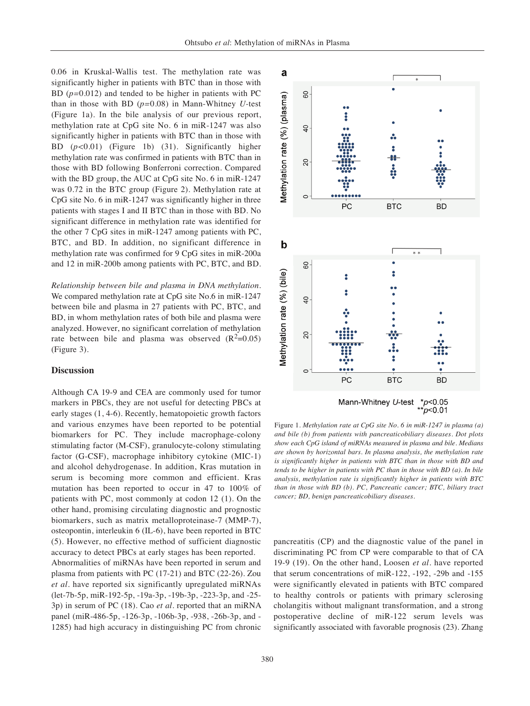0.06 in Kruskal-Wallis test. The methylation rate was significantly higher in patients with BTC than in those with BD (*p=*0.012) and tended to be higher in patients with PC than in those with BD (*p=*0.08) in Mann-Whitney *U-*test (Figure 1a). In the bile analysis of our previous report, methylation rate at CpG site No. 6 in miR-1247 was also significantly higher in patients with BTC than in those with BD (*p<*0.01) (Figure 1b) (31). Significantly higher methylation rate was confirmed in patients with BTC than in those with BD following Bonferroni correction. Compared with the BD group, the AUC at CpG site No. 6 in miR-1247 was 0.72 in the BTC group (Figure 2). Methylation rate at CpG site No. 6 in miR-1247 was significantly higher in three patients with stages I and II BTC than in those with BD. No significant difference in methylation rate was identified for the other 7 CpG sites in miR-1247 among patients with PC, BTC, and BD. In addition, no significant difference in methylation rate was confirmed for 9 CpG sites in miR-200a and 12 in miR-200b among patients with PC, BTC, and BD.

*Relationship between bile and plasma in DNA methylation.* We compared methylation rate at CpG site No.6 in miR-1247 between bile and plasma in 27 patients with PC, BTC, and BD, in whom methylation rates of both bile and plasma were analyzed. However, no significant correlation of methylation rate between bile and plasma was observed  $(R^2=0.05)$ (Figure 3).

# **Discussion**

Although CA 19-9 and CEA are commonly used for tumor markers in PBCs, they are not useful for detecting PBCs at early stages (1, 4-6). Recently, hematopoietic growth factors and various enzymes have been reported to be potential biomarkers for PC. They include macrophage-colony stimulating factor (M-CSF), granulocyte-colony stimulating factor (G-CSF), macrophage inhibitory cytokine (MIC-1) and alcohol dehydrogenase. In addition, Kras mutation in serum is becoming more common and efficient. Kras mutation has been reported to occur in 47 to 100% of patients with PC, most commonly at codon 12 (1). On the other hand, promising circulating diagnostic and prognostic biomarkers, such as matrix metalloproteinase-7 (MMP-7), osteopontin, interleukin 6 (IL-6), have been reported in BTC (5). However, no effective method of sufficient diagnostic accuracy to detect PBCs at early stages has been reported.

Abnormalities of miRNAs have been reported in serum and plasma from patients with PC (17-21) and BTC (22-26). Zou *et al.* have reported six significantly upregulated miRNAs (let-7b-5p, miR-192-5p, -19a-3p, -19b-3p, -223-3p, and -25- 3p) in serum of PC (18). Cao *et al.* reported that an miRNA panel (miR-486-5p, -126-3p, -106b-3p, -938, -26b-3p, and - 1285) had high accuracy in distinguishing PC from chronic



Figure 1. *Methylation rate at CpG site No. 6 in miR-1247 in plasma (a) and bile (b) from patients with pancreaticobiliary diseases. Dot plots show each CpG island of miRNAs measured in plasma and bile. Medians are shown by horizontal bars. In plasma analysis, the methylation rate is significantly higher in patients with BTC than in those with BD and tends to be higher in patients with PC than in those with BD (a). In bile analysis, methylation rate is significantly higher in patients with BTC than in those with BD (b). PC, Pancreatic cancer; BTC, biliary tract cancer; BD, benign pancreaticobiliary diseases.*

pancreatitis (CP) and the diagnostic value of the panel in discriminating PC from CP were comparable to that of CA 19-9 (19). On the other hand, Loosen *et al.* have reported that serum concentrations of miR-122, -192, -29b and -155 were significantly elevated in patients with BTC compared to healthy controls or patients with primary sclerosing cholangitis without malignant transformation, and a strong postoperative decline of miR-122 serum levels was significantly associated with favorable prognosis (23). Zhang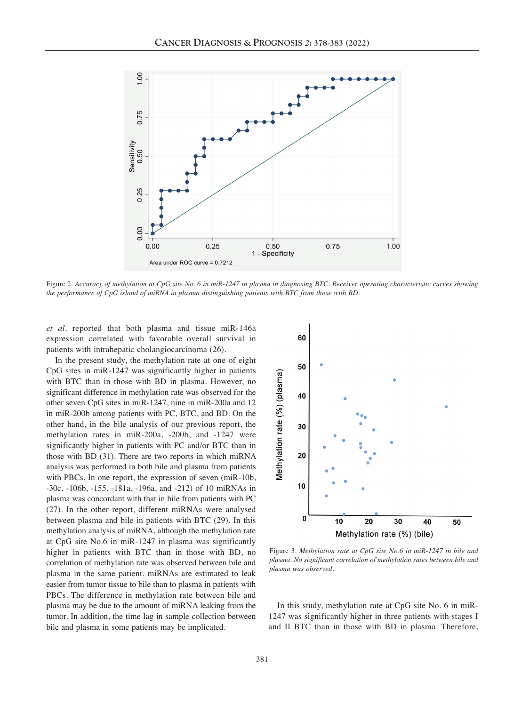

Figure 2. Accuracy of methylation at CpG site No. 6 in miR-1247 in plasma in diagnosing BTC. Receiver operating characteristic curves showing *the performance of CpG island of miRNA in plasma distinguishing patients with BTC from those with BD.*

*et al.* reported that both plasma and tissue miR-146a expression correlated with favorable overall survival in patients with intrahepatic cholangiocarcinoma (26).

In the present study, the methylation rate at one of eight CpG sites in miR-1247 was significantly higher in patients with BTC than in those with BD in plasma. However, no significant difference in methylation rate was observed for the other seven CpG sites in miR-1247, nine in miR-200a and 12 in miR-200b among patients with PC, BTC, and BD. On the other hand, in the bile analysis of our previous report, the methylation rates in miR-200a, -200b, and -1247 were significantly higher in patients with PC and/or BTC than in those with BD (31). There are two reports in which miRNA analysis was performed in both bile and plasma from patients with PBCs. In one report, the expression of seven (miR-10b, -30c, -106b, -155, -181a, -196a, and -212) of 10 miRNAs in plasma was concordant with that in bile from patients with PC (27). In the other report, different miRNAs were analysed between plasma and bile in patients with BTC (29). In this methylation analysis of miRNA, although the methylation rate at CpG site No.6 in miR-1247 in plasma was significantly higher in patients with BTC than in those with BD, no correlation of methylation rate was observed between bile and plasma in the same patient. miRNAs are estimated to leak easier from tumor tissue to bile than to plasma in patients with PBCs. The difference in methylation rate between bile and plasma may be due to the amount of miRNA leaking from the tumor. In addition, the time lag in sample collection between bile and plasma in some patients may be implicated.



Figure 3. *Methylation rate at CpG site No.6 in miR-1247 in bile and plasma. No significant correlation of methylation rates between bile and plasma was observed.*

In this study, methylation rate at CpG site No. 6 in miR-1247 was significantly higher in three patients with stages I and II BTC than in those with BD in plasma. Therefore,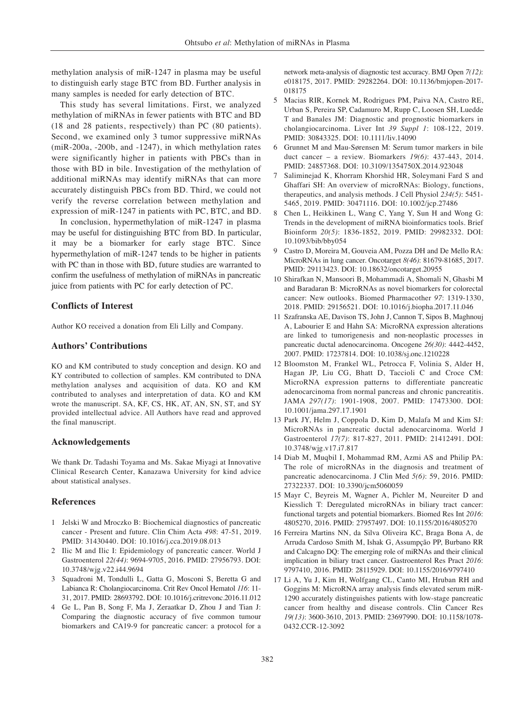methylation analysis of miR-1247 in plasma may be useful to distinguish early stage BTC from BD. Further analysis in many samples is needed for early detection of BTC.

This study has several limitations. First, we analyzed methylation of miRNAs in fewer patients with BTC and BD (18 and 28 patients, respectively) than PC (80 patients). Second, we examined only 3 tumor suppressive miRNAs (miR-200a, -200b, and -1247), in which methylation rates were significantly higher in patients with PBCs than in those with BD in bile. Investigation of the methylation of additional miRNAs may identify miRNAs that can more accurately distinguish PBCs from BD. Third, we could not verify the reverse correlation between methylation and expression of miR-1247 in patients with PC, BTC, and BD.

In conclusion, hypermethylation of miR-1247 in plasma may be useful for distinguishing BTC from BD. In particular, it may be a biomarker for early stage BTC. Since hypermethylation of miR-1247 tends to be higher in patients with PC than in those with BD, future studies are warranted to confirm the usefulness of methylation of miRNAs in pancreatic juice from patients with PC for early detection of PC.

## **Conflicts of Interest**

Author KO received a donation from Eli Lilly and Company.

#### **Authors' Contributions**

KO and KM contributed to study conception and design. KO and KY contributed to collection of samples. KM contributed to DNA methylation analyses and acquisition of data. KO and KM contributed to analyses and interpretation of data. KO and KM wrote the manuscript. SA, KF, CS, HK, AT, AN, SN, ST, and SY provided intellectual advice. All Authors have read and approved the final manuscript.

## **Acknowledgements**

We thank Dr. Tadashi Toyama and Ms. Sakae Miyagi at Innovative Clinical Research Center, Kanazawa University for kind advice about statistical analyses.

## **References**

- 1 Jelski W and Mroczko B: Biochemical diagnostics of pancreatic cancer - Present and future. Clin Chim Acta *498*: 47-51, 2019. PMID: 31430440. DOI: 10.1016/j.cca.2019.08.013
- 2 Ilic M and Ilic I: Epidemiology of pancreatic cancer. World J Gastroenterol *22(44)*: 9694-9705, 2016. PMID: 27956793. DOI: 10.3748/wjg.v22.i44.9694
- 3 Squadroni M, Tondulli L, Gatta G, Mosconi S, Beretta G and Labianca R: Cholangiocarcinoma. Crit Rev Oncol Hematol *116*: 11- 31, 2017. PMID: 28693792. DOI: 10.1016/j.critrevonc.2016.11.012
- 4 Ge L, Pan B, Song F, Ma J, Zeraatkar D, Zhou J and Tian J: Comparing the diagnostic accuracy of five common tumour biomarkers and CA19-9 for pancreatic cancer: a protocol for a

network meta-analysis of diagnostic test accuracy. BMJ Open *7(12)*: e018175, 2017. PMID: 29282264. DOI: 10.1136/bmjopen-2017- 018175

- 5 Macias RIR, Kornek M, Rodrigues PM, Paiva NA, Castro RE, Urban S, Pereira SP, Cadamuro M, Rupp C, Loosen SH, Luedde T and Banales JM: Diagnostic and prognostic biomarkers in cholangiocarcinoma. Liver Int *39 Suppl 1*: 108-122, 2019. PMID: 30843325. DOI: 10.1111/liv.14090
- 6 Grunnet M and Mau-Sørensen M: Serum tumor markers in bile duct cancer – a review. Biomarkers *19(6)*: 437-443, 2014. PMID: 24857368. DOI: 10.3109/1354750X.2014.923048
- 7 Saliminejad K, Khorram Khorshid HR, Soleymani Fard S and Ghaffari SH: An overview of microRNAs: Biology, functions, therapeutics, and analysis methods. J Cell Physiol *234(5)*: 5451- 5465, 2019. PMID: 30471116. DOI: 10.1002/jcp.27486
- 8 Chen L, Heikkinen L, Wang C, Yang Y, Sun H and Wong G: Trends in the development of miRNA bioinformatics tools. Brief Bioinform *20(5)*: 1836-1852, 2019. PMID: 29982332. DOI: 10.1093/bib/bby054
- 9 Castro D, Moreira M, Gouveia AM, Pozza DH and De Mello RA: MicroRNAs in lung cancer. Oncotarget *8(46)*: 81679-81685, 2017. PMID: 29113423. DOI: 10.18632/oncotarget.20955
- 10 Shirafkan N, Mansoori B, Mohammadi A, Shomali N, Ghasbi M and Baradaran B: MicroRNAs as novel biomarkers for colorectal cancer: New outlooks. Biomed Pharmacother *97*: 1319-1330, 2018. PMID: 29156521. DOI: 10.1016/j.biopha.2017.11.046
- 11 Szafranska AE, Davison TS, John J, Cannon T, Sipos B, Maghnouj A, Labourier E and Hahn SA: MicroRNA expression alterations are linked to tumorigenesis and non-neoplastic processes in pancreatic ductal adenocarcinoma. Oncogene *26(30)*: 4442-4452, 2007. PMID: 17237814. DOI: 10.1038/sj.onc.1210228
- 12 Bloomston M, Frankel WL, Petrocca F, Volinia S, Alder H, Hagan JP, Liu CG, Bhatt D, Taccioli C and Croce CM: MicroRNA expression patterns to differentiate pancreatic adenocarcinoma from normal pancreas and chronic pancreatitis. JAMA *297(17)*: 1901-1908, 2007. PMID: 17473300. DOI: 10.1001/jama.297.17.1901
- 13 Park JY, Helm J, Coppola D, Kim D, Malafa M and Kim SJ: MicroRNAs in pancreatic ductal adenocarcinoma. World J Gastroenterol *17(7)*: 817-827, 2011. PMID: 21412491. DOI: 10.3748/wjg.v17.i7.817
- 14 Diab M, Muqbil I, Mohammad RM, Azmi AS and Philip PA: The role of microRNAs in the diagnosis and treatment of pancreatic adenocarcinoma. J Clin Med *5(6)*: 59, 2016. PMID: 27322337. DOI: 10.3390/jcm5060059
- 15 Mayr C, Beyreis M, Wagner A, Pichler M, Neureiter D and Kiesslich T: Deregulated microRNAs in biliary tract cancer: functional targets and potential biomarkers. Biomed Res Int *2016*: 4805270, 2016. PMID: 27957497. DOI: 10.1155/2016/4805270
- 16 Ferreira Martins NN, da Silva Oliveira KC, Braga Bona A, de Arruda Cardoso Smith M, Ishak G, Assumpção PP, Burbano RR and Calcagno DQ: The emerging role of miRNAs and their clinical implication in biliary tract cancer. Gastroenterol Res Pract *2016*: 9797410, 2016. PMID: 28115929. DOI: 10.1155/2016/9797410
- 17 Li A, Yu J, Kim H, Wolfgang CL, Canto MI, Hruban RH and Goggins M: MicroRNA array analysis finds elevated serum miR-1290 accurately distinguishes patients with low-stage pancreatic cancer from healthy and disease controls. Clin Cancer Res *19(13)*: 3600-3610, 2013. PMID: 23697990. DOI: 10.1158/1078- 0432.CCR-12-3092